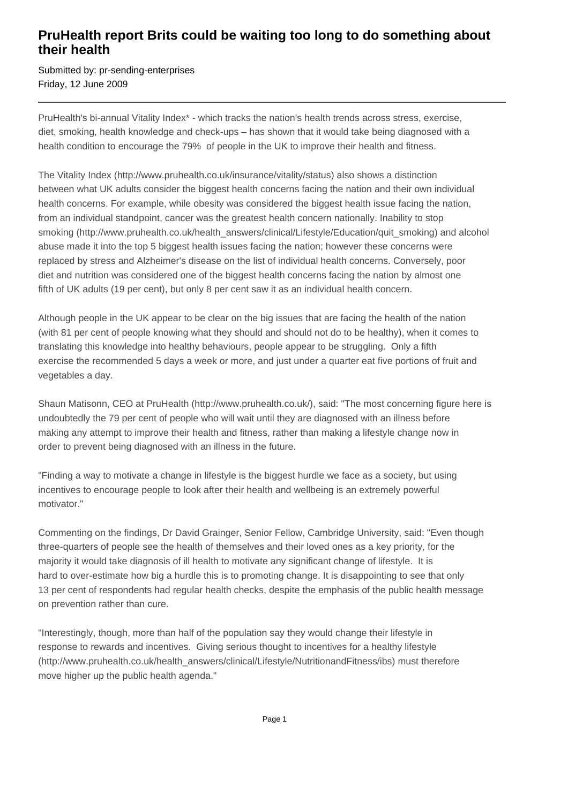# **PruHealth report Brits could be waiting too long to do something about their health**

Submitted by: pr-sending-enterprises Friday, 12 June 2009

PruHealth's bi-annual Vitality Index\* - which tracks the nation's health trends across stress, exercise, diet, smoking, health knowledge and check-ups – has shown that it would take being diagnosed with a health condition to encourage the 79% of people in the UK to improve their health and fitness.

The Vitality Index (http://www.pruhealth.co.uk/insurance/vitality/status) also shows a distinction between what UK adults consider the biggest health concerns facing the nation and their own individual health concerns. For example, while obesity was considered the biggest health issue facing the nation, from an individual standpoint, cancer was the greatest health concern nationally. Inability to stop smoking (http://www.pruhealth.co.uk/health\_answers/clinical/Lifestyle/Education/quit\_smoking) and alcohol abuse made it into the top 5 biggest health issues facing the nation; however these concerns were replaced by stress and Alzheimer's disease on the list of individual health concerns. Conversely, poor diet and nutrition was considered one of the biggest health concerns facing the nation by almost one fifth of UK adults (19 per cent), but only 8 per cent saw it as an individual health concern.

Although people in the UK appear to be clear on the big issues that are facing the health of the nation (with 81 per cent of people knowing what they should and should not do to be healthy), when it comes to translating this knowledge into healthy behaviours, people appear to be struggling. Only a fifth exercise the recommended 5 days a week or more, and just under a quarter eat five portions of fruit and vegetables a day.

Shaun Matisonn, CEO at PruHealth (http://www.pruhealth.co.uk/), said: "The most concerning figure here is undoubtedly the 79 per cent of people who will wait until they are diagnosed with an illness before making any attempt to improve their health and fitness, rather than making a lifestyle change now in order to prevent being diagnosed with an illness in the future.

"Finding a way to motivate a change in lifestyle is the biggest hurdle we face as a society, but using incentives to encourage people to look after their health and wellbeing is an extremely powerful motivator."

Commenting on the findings, Dr David Grainger, Senior Fellow, Cambridge University, said: "Even though three-quarters of people see the health of themselves and their loved ones as a key priority, for the majority it would take diagnosis of ill health to motivate any significant change of lifestyle. It is hard to over-estimate how big a hurdle this is to promoting change. It is disappointing to see that only 13 per cent of respondents had regular health checks, despite the emphasis of the public health message on prevention rather than cure.

"Interestingly, though, more than half of the population say they would change their lifestyle in response to rewards and incentives. Giving serious thought to incentives for a healthy lifestyle (http://www.pruhealth.co.uk/health\_answers/clinical/Lifestyle/NutritionandFitness/ibs) must therefore move higher up the public health agenda."